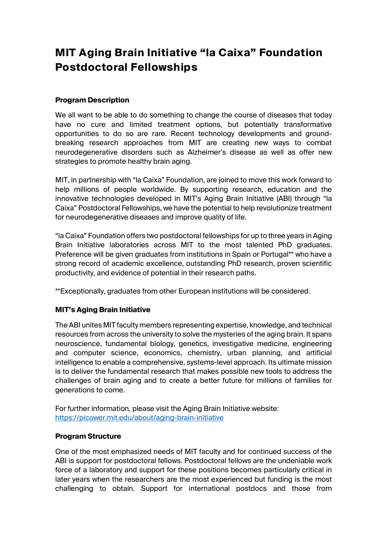# **MIT Aging Brain Initiative "la Caixa" Foundation Postdoctoral Fellowships**

## **Program Description**

We all want to be able to do something to change the course of diseases that today have no cure and limited treatment options, but potentially transformative opportunities to do so are rare. Recent technology developments and groundbreaking research approaches from MIT are creating new ways to combat neurodegenerative disorders such as Alzheimer's disease as well as offer new strategies to promote healthy brain aging.

MIT, in partnership with "la Caixa" Foundation, are joined to move this work forward to help millions of people worldwide. By supporting research, education and the innovative technologies developed in MIT's Aging Brain Initiative (ABI) through "la Caixa" Postdoctoral Fellowships, we have the potential to help revolutionize treatment for neurodegenerative diseases and improve quality of life.

"la Caixa" Foundation offers two postdoctoral fellowships for up to three years in Aging Brain Initiative laboratories across MIT to the most talented PhD graduates. Preference will be given graduates from institutions in Spain or Portugal\*\* who have a strong record of academic excellence, outstanding PhD research, proven scientific productivity, and evidence of potential in their research paths.

\*\*Exceptionally, graduates from other European institutions will be considered.

## **MIT's Aging Brain Initiative**

The ABI unites MIT faculty members representing expertise, knowledge, and technical resources from across the university to solve the mysteries of the aging brain. It spans neuroscience, fundamental biology, genetics, investigative medicine, engineering and computer science, economics, chemistry, urban planning, and artificial intelligence to enable a comprehensive, systems-level approach. Its ultimate mission is to deliver the fundamental research that makes possible new tools to address the challenges of brain aging and to create a better future for millions of families for generations to come.

For further information, please visit the Aging Brain Initiative website: https://picower.mit.edu/about/aging-brain-initiative

#### **Program Structure**

One of the most emphasized needs of MIT faculty and for continued success of the ABI is support for postdoctoral fellows. Postdoctoral fellows are the undeniable work force of a laboratory and support for these positions becomes particularly critical in later years when the researchers are the most experienced but funding is the most challenging to obtain. Support for international postdocs and those from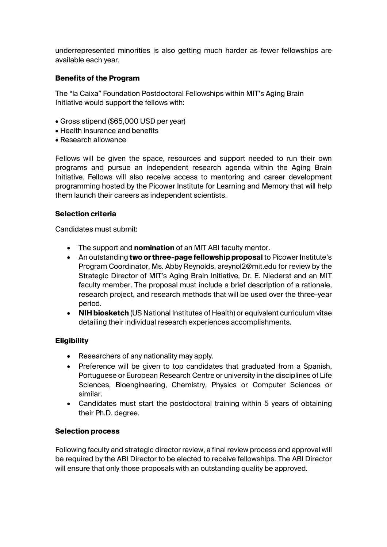underrepresented minorities is also getting much harder as fewer fellowships are available each year.

#### **Benefits of the Program**

The "la Caixa" Foundation Postdoctoral Fellowships within MIT's Aging Brain Initiative would support the fellows with:

- Gross stipend (\$65,000 USD per year)
- Health insurance and benefits
- Research allowance

Fellows will be given the space, resources and support needed to run their own programs and pursue an independent research agenda within the Aging Brain Initiative. Fellows will also receive access to mentoring and career development programming hosted by the Picower Institute for Learning and Memory that will help them launch their careers as independent scientists.

#### **Selection criteria**

Candidates must submit:

- The support and **nomination** of an MIT ABI faculty mentor.
- An outstanding **two or three-page fellowship proposal** to Picower Institute's Program Coordinator, Ms. Abby Reynolds, areynol2@mit.edu for review by the Strategic Director of MIT's Aging Brain Initiative, Dr. E. Niederst and an MIT faculty member. The proposal must include a brief description of a rationale, research project, and research methods that will be used over the three-year period.
- **NIH biosketch** (US National Institutes of Health) or equivalent curriculum vitae detailing their individual research experiences accomplishments.

## **Eligibility**

- Researchers of any nationality may apply.
- Preference will be given to top candidates that graduated from a Spanish, Portuguese or European Research Centre or university in the disciplines of Life Sciences, Bioengineering, Chemistry, Physics or Computer Sciences or similar.
- Candidates must start the postdoctoral training within 5 years of obtaining their Ph.D. degree.

#### **Selection process**

Following faculty and strategic director review, a final review process and approval will be required by the ABI Director to be elected to receive fellowships. The ABI Director will ensure that only those proposals with an outstanding quality be approved.